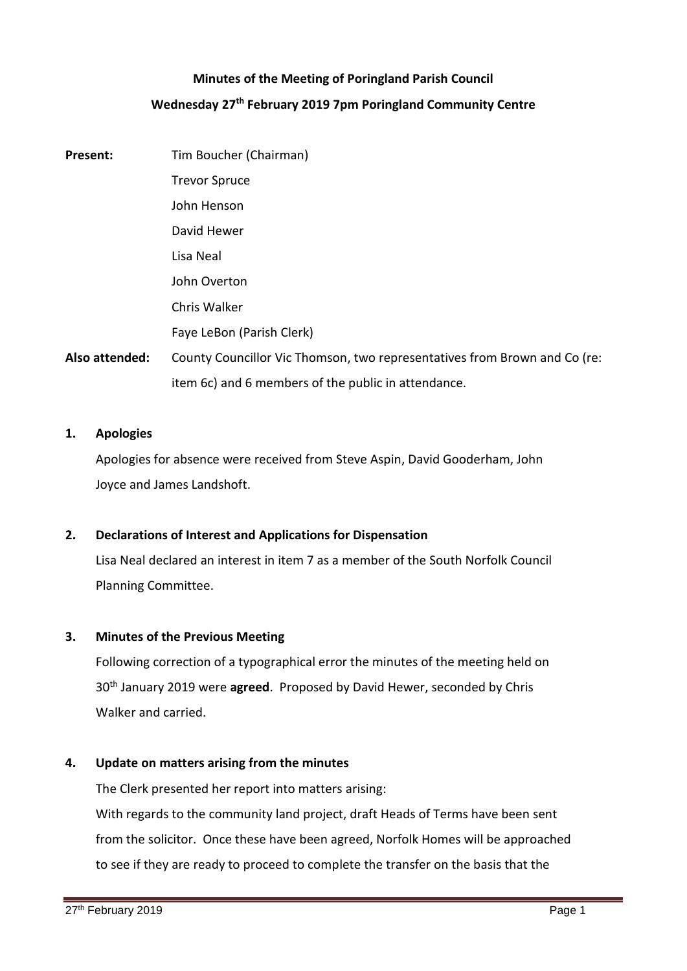## **Minutes of the Meeting of Poringland Parish Council Wednesday 27th February 2019 7pm Poringland Community Centre**

# **Present:** Tim Boucher (Chairman) Trevor Spruce John Henson David Hewer Lisa Neal John Overton Chris Walker Faye LeBon (Parish Clerk) **Also attended:** County Councillor Vic Thomson, two representatives from Brown and Co (re: item 6c) and 6 members of the public in attendance.

### **1. Apologies**

Apologies for absence were received from Steve Aspin, David Gooderham, John Joyce and James Landshoft.

### **2. Declarations of Interest and Applications for Dispensation**

Lisa Neal declared an interest in item 7 as a member of the South Norfolk Council Planning Committee.

### **3. Minutes of the Previous Meeting**

Following correction of a typographical error the minutes of the meeting held on 30th January 2019 were **agreed**. Proposed by David Hewer, seconded by Chris Walker and carried.

### **4. Update on matters arising from the minutes**

The Clerk presented her report into matters arising:

With regards to the community land project, draft Heads of Terms have been sent from the solicitor. Once these have been agreed, Norfolk Homes will be approached to see if they are ready to proceed to complete the transfer on the basis that the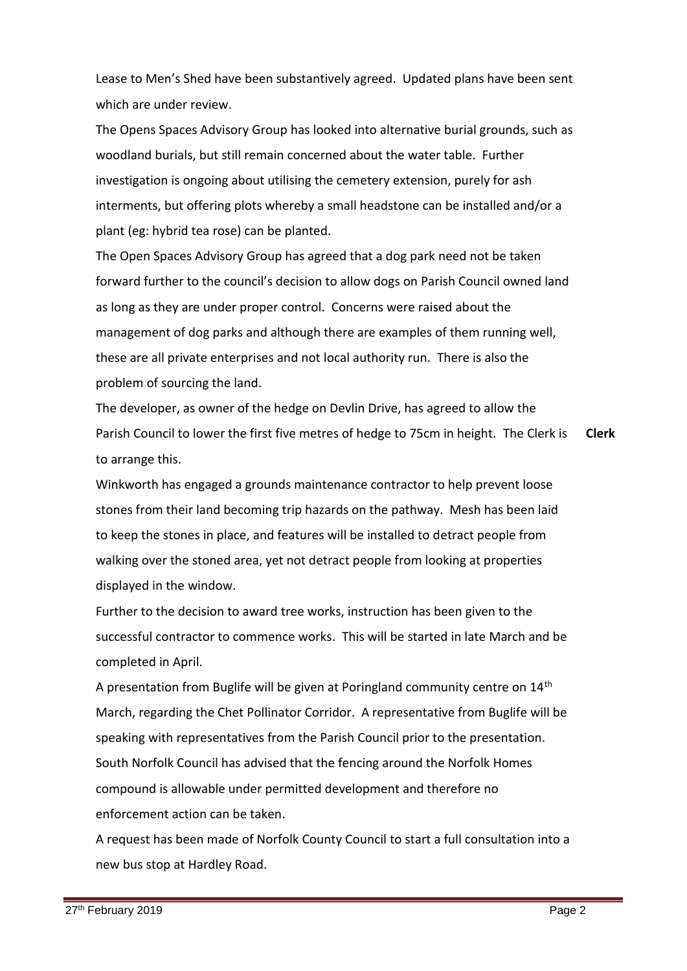Lease to Men's Shed have been substantively agreed. Updated plans have been sent which are under review.

The Opens Spaces Advisory Group has looked into alternative burial grounds, such as woodland burials, but still remain concerned about the water table. Further investigation is ongoing about utilising the cemetery extension, purely for ash interments, but offering plots whereby a small headstone can be installed and/or a plant (eg: hybrid tea rose) can be planted.

The Open Spaces Advisory Group has agreed that a dog park need not be taken forward further to the council's decision to allow dogs on Parish Council owned land as long as they are under proper control. Concerns were raised about the management of dog parks and although there are examples of them running well, these are all private enterprises and not local authority run. There is also the problem of sourcing the land.

The developer, as owner of the hedge on Devlin Drive, has agreed to allow the Parish Council to lower the first five metres of hedge to 75cm in height. The Clerk is to arrange this. **Clerk**

Winkworth has engaged a grounds maintenance contractor to help prevent loose stones from their land becoming trip hazards on the pathway. Mesh has been laid to keep the stones in place, and features will be installed to detract people from walking over the stoned area, yet not detract people from looking at properties displayed in the window.

Further to the decision to award tree works, instruction has been given to the successful contractor to commence works. This will be started in late March and be completed in April.

A presentation from Buglife will be given at Poringland community centre on 14<sup>th</sup> March, regarding the Chet Pollinator Corridor. A representative from Buglife will be speaking with representatives from the Parish Council prior to the presentation. South Norfolk Council has advised that the fencing around the Norfolk Homes compound is allowable under permitted development and therefore no enforcement action can be taken.

A request has been made of Norfolk County Council to start a full consultation into a new bus stop at Hardley Road.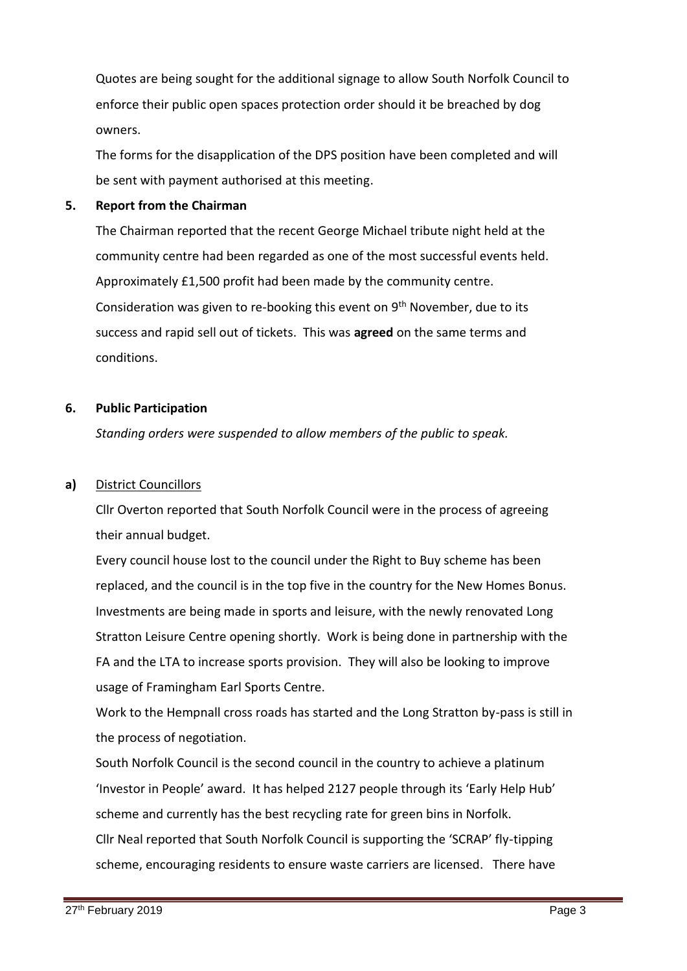Quotes are being sought for the additional signage to allow South Norfolk Council to enforce their public open spaces protection order should it be breached by dog owners.

The forms for the disapplication of the DPS position have been completed and will be sent with payment authorised at this meeting.

### **5. Report from the Chairman**

The Chairman reported that the recent George Michael tribute night held at the community centre had been regarded as one of the most successful events held. Approximately £1,500 profit had been made by the community centre. Consideration was given to re-booking this event on 9<sup>th</sup> November, due to its success and rapid sell out of tickets. This was **agreed** on the same terms and conditions.

### **6. Public Participation**

*Standing orders were suspended to allow members of the public to speak.*

### **a)** District Councillors

Cllr Overton reported that South Norfolk Council were in the process of agreeing their annual budget.

Every council house lost to the council under the Right to Buy scheme has been replaced, and the council is in the top five in the country for the New Homes Bonus. Investments are being made in sports and leisure, with the newly renovated Long Stratton Leisure Centre opening shortly. Work is being done in partnership with the FA and the LTA to increase sports provision. They will also be looking to improve usage of Framingham Earl Sports Centre.

Work to the Hempnall cross roads has started and the Long Stratton by-pass is still in the process of negotiation.

South Norfolk Council is the second council in the country to achieve a platinum 'Investor in People' award. It has helped 2127 people through its 'Early Help Hub' scheme and currently has the best recycling rate for green bins in Norfolk. Cllr Neal reported that South Norfolk Council is supporting the 'SCRAP' fly-tipping scheme, encouraging residents to ensure waste carriers are licensed. There have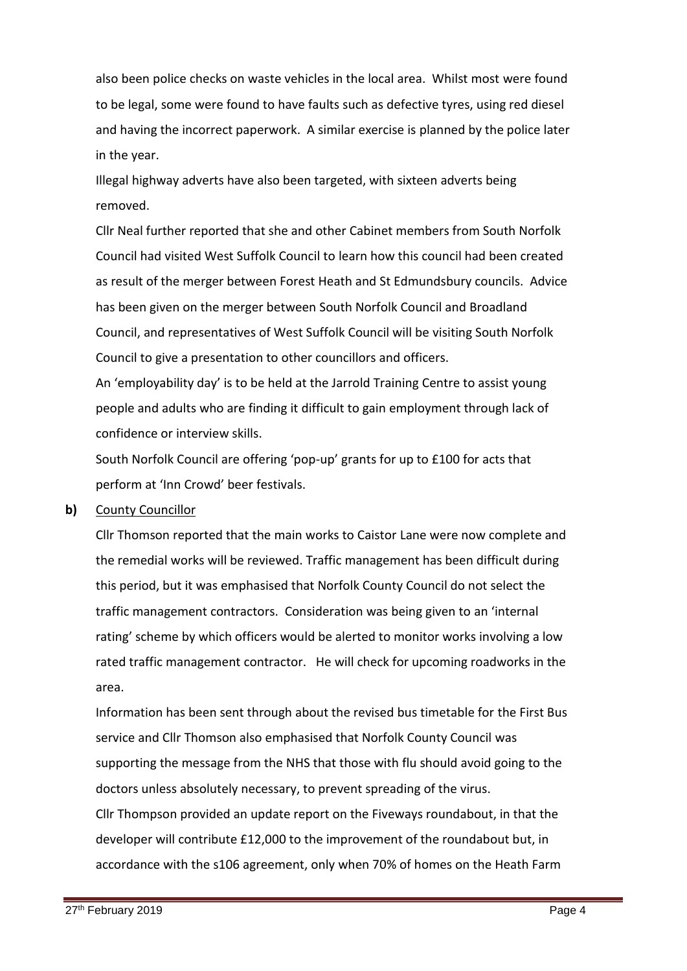also been police checks on waste vehicles in the local area. Whilst most were found to be legal, some were found to have faults such as defective tyres, using red diesel and having the incorrect paperwork. A similar exercise is planned by the police later in the year.

Illegal highway adverts have also been targeted, with sixteen adverts being removed.

Cllr Neal further reported that she and other Cabinet members from South Norfolk Council had visited West Suffolk Council to learn how this council had been created as result of the merger between Forest Heath and St Edmundsbury councils. Advice has been given on the merger between South Norfolk Council and Broadland Council, and representatives of West Suffolk Council will be visiting South Norfolk Council to give a presentation to other councillors and officers.

An 'employability day' is to be held at the Jarrold Training Centre to assist young people and adults who are finding it difficult to gain employment through lack of confidence or interview skills.

South Norfolk Council are offering 'pop-up' grants for up to £100 for acts that perform at 'Inn Crowd' beer festivals.

### **b)** County Councillor

Cllr Thomson reported that the main works to Caistor Lane were now complete and the remedial works will be reviewed. Traffic management has been difficult during this period, but it was emphasised that Norfolk County Council do not select the traffic management contractors. Consideration was being given to an 'internal rating' scheme by which officers would be alerted to monitor works involving a low rated traffic management contractor. He will check for upcoming roadworks in the area.

Information has been sent through about the revised bus timetable for the First Bus service and Cllr Thomson also emphasised that Norfolk County Council was supporting the message from the NHS that those with flu should avoid going to the doctors unless absolutely necessary, to prevent spreading of the virus. Cllr Thompson provided an update report on the Fiveways roundabout, in that the developer will contribute £12,000 to the improvement of the roundabout but, in

accordance with the s106 agreement, only when 70% of homes on the Heath Farm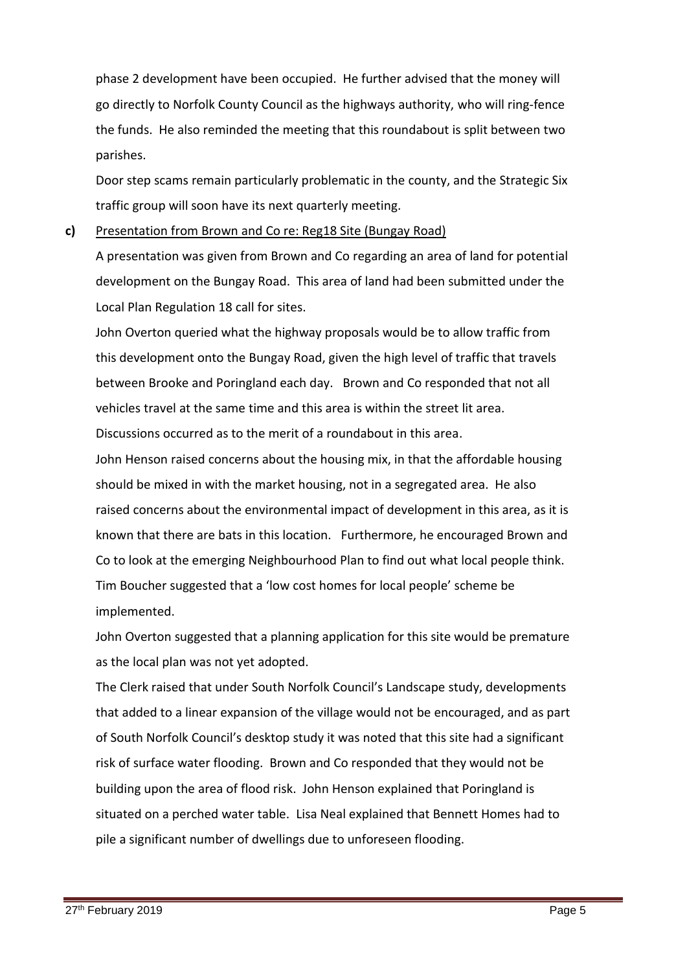phase 2 development have been occupied. He further advised that the money will go directly to Norfolk County Council as the highways authority, who will ring-fence the funds. He also reminded the meeting that this roundabout is split between two parishes.

Door step scams remain particularly problematic in the county, and the Strategic Six traffic group will soon have its next quarterly meeting.

#### **c)** Presentation from Brown and Co re: Reg18 Site (Bungay Road)

A presentation was given from Brown and Co regarding an area of land for potential development on the Bungay Road. This area of land had been submitted under the Local Plan Regulation 18 call for sites.

John Overton queried what the highway proposals would be to allow traffic from this development onto the Bungay Road, given the high level of traffic that travels between Brooke and Poringland each day. Brown and Co responded that not all vehicles travel at the same time and this area is within the street lit area. Discussions occurred as to the merit of a roundabout in this area.

John Henson raised concerns about the housing mix, in that the affordable housing should be mixed in with the market housing, not in a segregated area. He also raised concerns about the environmental impact of development in this area, as it is known that there are bats in this location. Furthermore, he encouraged Brown and Co to look at the emerging Neighbourhood Plan to find out what local people think. Tim Boucher suggested that a 'low cost homes for local people' scheme be implemented.

John Overton suggested that a planning application for this site would be premature as the local plan was not yet adopted.

The Clerk raised that under South Norfolk Council's Landscape study, developments that added to a linear expansion of the village would not be encouraged, and as part of South Norfolk Council's desktop study it was noted that this site had a significant risk of surface water flooding. Brown and Co responded that they would not be building upon the area of flood risk. John Henson explained that Poringland is situated on a perched water table. Lisa Neal explained that Bennett Homes had to pile a significant number of dwellings due to unforeseen flooding.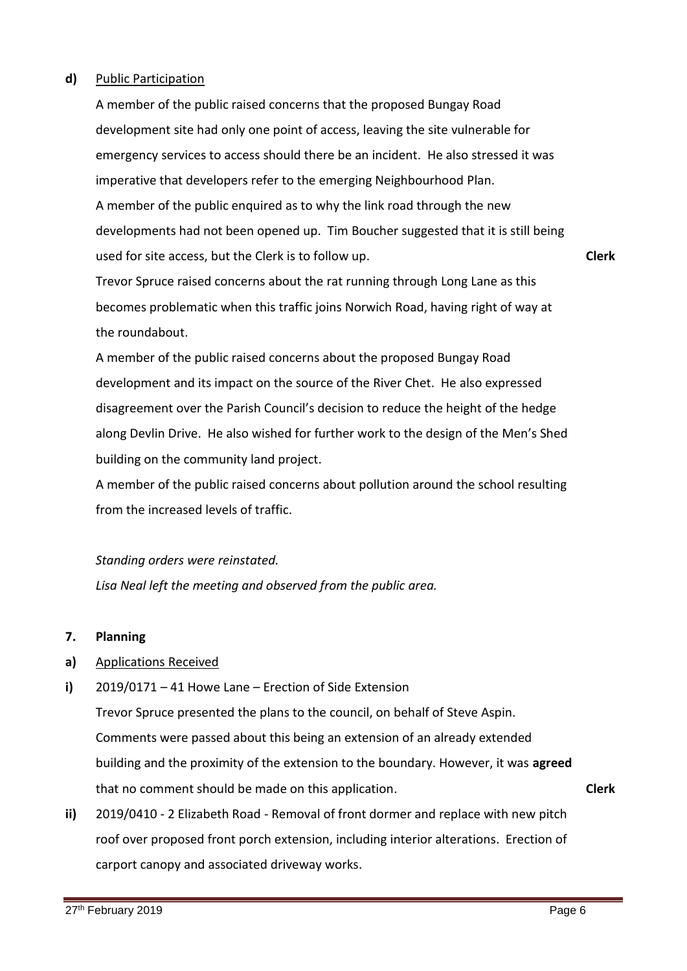### **d)** Public Participation

A member of the public raised concerns that the proposed Bungay Road development site had only one point of access, leaving the site vulnerable for emergency services to access should there be an incident. He also stressed it was imperative that developers refer to the emerging Neighbourhood Plan. A member of the public enquired as to why the link road through the new developments had not been opened up. Tim Boucher suggested that it is still being used for site access, but the Clerk is to follow up.

Trevor Spruce raised concerns about the rat running through Long Lane as this becomes problematic when this traffic joins Norwich Road, having right of way at the roundabout.

A member of the public raised concerns about the proposed Bungay Road development and its impact on the source of the River Chet. He also expressed disagreement over the Parish Council's decision to reduce the height of the hedge along Devlin Drive. He also wished for further work to the design of the Men's Shed building on the community land project.

A member of the public raised concerns about pollution around the school resulting from the increased levels of traffic.

### *Standing orders were reinstated.*

*Lisa Neal left the meeting and observed from the public area.*

#### **7. Planning**

- **a)** Applications Received
- **i)** 2019/0171 – 41 Howe Lane – Erection of Side Extension

Trevor Spruce presented the plans to the council, on behalf of Steve Aspin. Comments were passed about this being an extension of an already extended building and the proximity of the extension to the boundary. However, it was **agreed** that no comment should be made on this application. **Clerk**

**ii)** 2019/0410 - 2 Elizabeth Road - Removal of front dormer and replace with new pitch roof over proposed front porch extension, including interior alterations. Erection of carport canopy and associated driveway works.

**Clerk**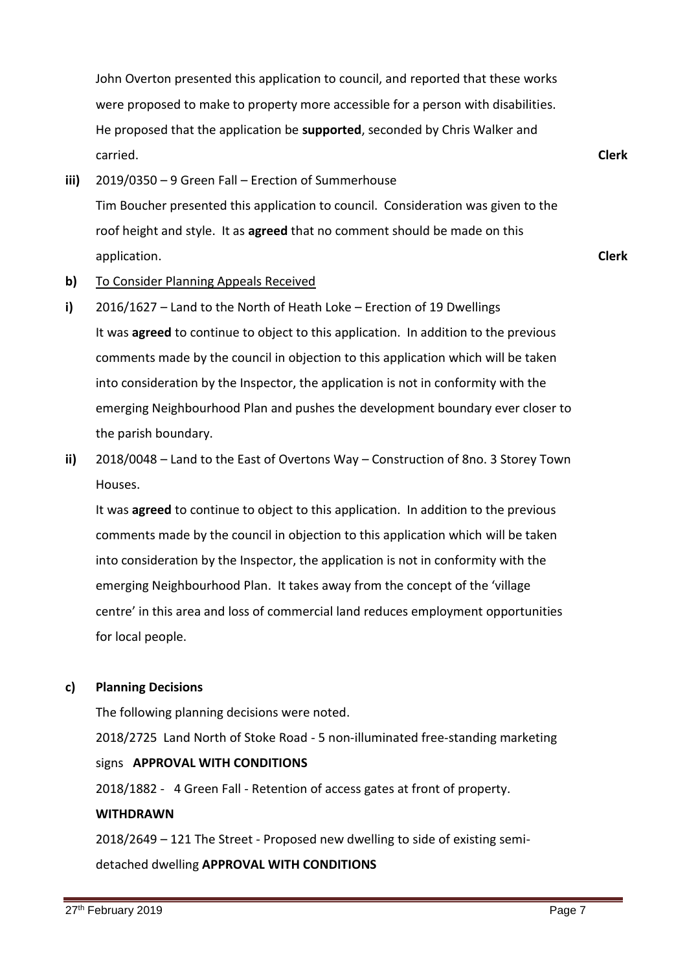John Overton presented this application to council, and reported that these works were proposed to make to property more accessible for a person with disabilities. He proposed that the application be **supported**, seconded by Chris Walker and carried.

**iii)** 2019/0350 – 9 Green Fall – Erection of Summerhouse Tim Boucher presented this application to council. Consideration was given to the roof height and style. It as **agreed** that no comment should be made on this application.

**Clerk**

**Clerk**

- **b)** To Consider Planning Appeals Received
- **i)** 2016/1627 – Land to the North of Heath Loke – Erection of 19 Dwellings It was **agreed** to continue to object to this application. In addition to the previous comments made by the council in objection to this application which will be taken into consideration by the Inspector, the application is not in conformity with the emerging Neighbourhood Plan and pushes the development boundary ever closer to the parish boundary.
- **ii)**  2018/0048 – Land to the East of Overtons Way – Construction of 8no. 3 Storey Town Houses.

It was **agreed** to continue to object to this application. In addition to the previous comments made by the council in objection to this application which will be taken into consideration by the Inspector, the application is not in conformity with the emerging Neighbourhood Plan. It takes away from the concept of the 'village centre' in this area and loss of commercial land reduces employment opportunities for local people.

### **c) Planning Decisions**

The following planning decisions were noted. 2018/2725 Land North of Stoke Road - 5 non-illuminated free-standing marketing signs **APPROVAL WITH CONDITIONS** 2018/1882 - 4 Green Fall - Retention of access gates at front of property. **WITHDRAWN**

2018/2649 – 121 The Street - Proposed new dwelling to side of existing semidetached dwelling **APPROVAL WITH CONDITIONS**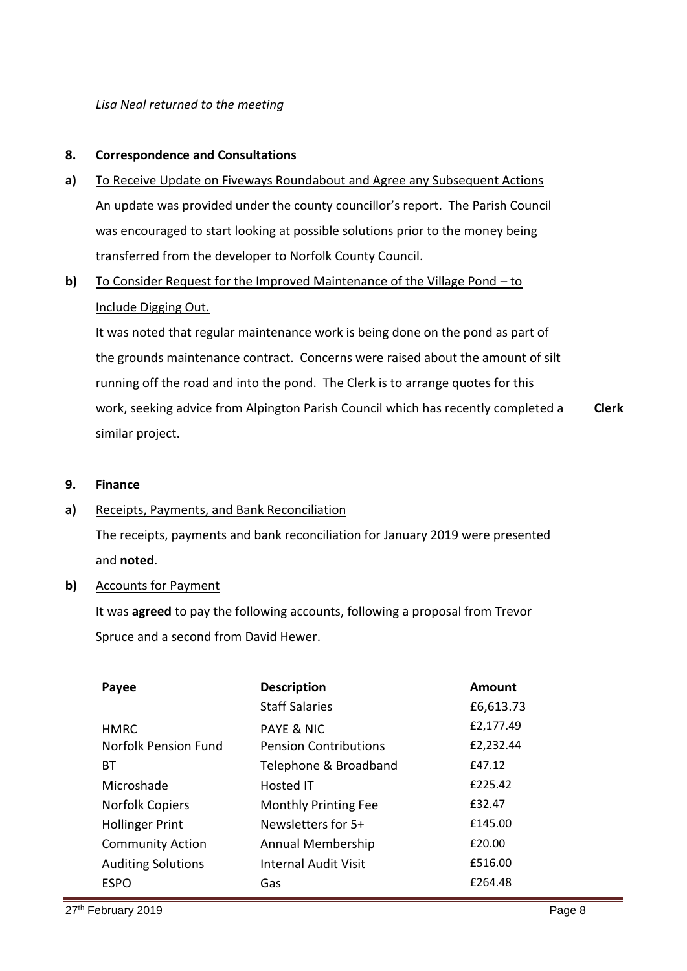*Lisa Neal returned to the meeting*

#### **8. Correspondence and Consultations**

- **a)** To Receive Update on Fiveways Roundabout and Agree any Subsequent Actions An update was provided under the county councillor's report. The Parish Council was encouraged to start looking at possible solutions prior to the money being transferred from the developer to Norfolk County Council.
- **b)**  To Consider Request for the Improved Maintenance of the Village Pond – to Include Digging Out.

It was noted that regular maintenance work is being done on the pond as part of the grounds maintenance contract. Concerns were raised about the amount of silt running off the road and into the pond. The Clerk is to arrange quotes for this work, seeking advice from Alpington Parish Council which has recently completed a similar project. **Clerk**

**9. Finance**

#### **a)** Receipts, Payments, and Bank Reconciliation

The receipts, payments and bank reconciliation for January 2019 were presented and **noted**.

### **b)** Accounts for Payment

It was **agreed** to pay the following accounts, following a proposal from Trevor Spruce and a second from David Hewer.

| Payee                     | <b>Description</b>           | Amount    |
|---------------------------|------------------------------|-----------|
|                           | <b>Staff Salaries</b>        | £6,613.73 |
| <b>HMRC</b>               | <b>PAYE &amp; NIC</b>        | £2,177.49 |
| Norfolk Pension Fund      | <b>Pension Contributions</b> | £2,232.44 |
| BТ                        | Telephone & Broadband        | £47.12    |
| Microshade                | Hosted IT                    | £225.42   |
| <b>Norfolk Copiers</b>    | <b>Monthly Printing Fee</b>  | £32.47    |
| <b>Hollinger Print</b>    | Newsletters for 5+           | £145.00   |
| <b>Community Action</b>   | Annual Membership            | £20.00    |
| <b>Auditing Solutions</b> | <b>Internal Audit Visit</b>  | £516.00   |
| <b>ESPO</b>               | Gas                          | £264.48   |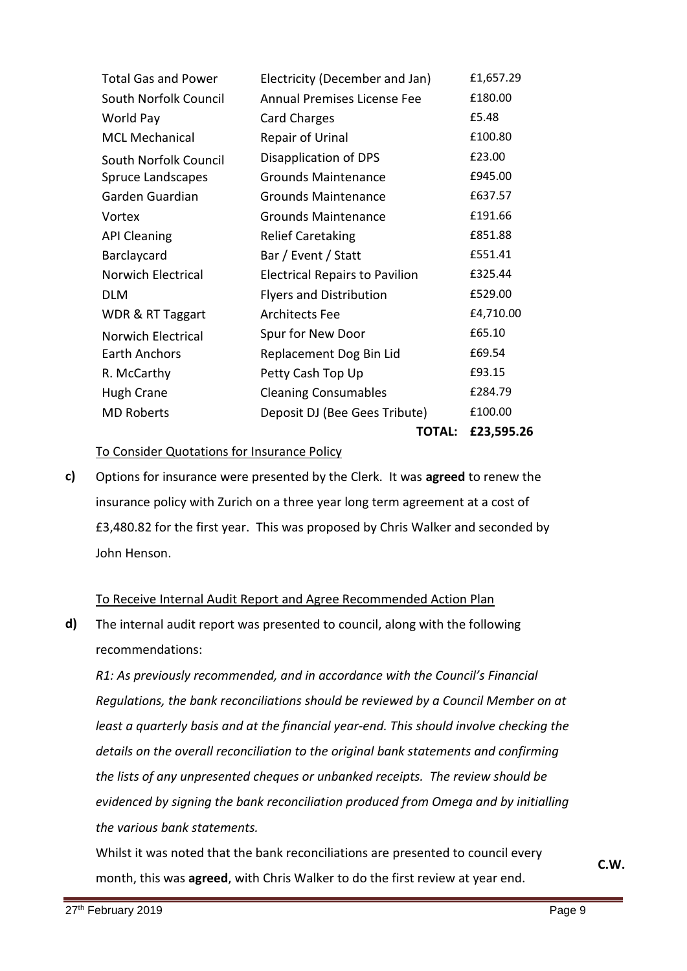| <b>Total Gas and Power</b> | Electricity (December and Jan)        | £1,657.29  |
|----------------------------|---------------------------------------|------------|
| South Norfolk Council      | Annual Premises License Fee           | £180.00    |
| World Pay                  | Card Charges                          | £5.48      |
| <b>MCL Mechanical</b>      | <b>Repair of Urinal</b>               | £100.80    |
| South Norfolk Council      | Disapplication of DPS                 | £23.00     |
| <b>Spruce Landscapes</b>   | <b>Grounds Maintenance</b>            | £945.00    |
| Garden Guardian            | <b>Grounds Maintenance</b>            | £637.57    |
| Vortex                     | <b>Grounds Maintenance</b>            | £191.66    |
| <b>API Cleaning</b>        | <b>Relief Caretaking</b>              | £851.88    |
| Barclaycard                | Bar / Event / Statt                   | £551.41    |
| Norwich Electrical         | <b>Electrical Repairs to Pavilion</b> | £325.44    |
| <b>DLM</b>                 | <b>Flyers and Distribution</b>        | £529.00    |
| WDR & RT Taggart           | <b>Architects Fee</b>                 | £4,710.00  |
| <b>Norwich Electrical</b>  | Spur for New Door                     | £65.10     |
| Earth Anchors              | Replacement Dog Bin Lid               | £69.54     |
| R. McCarthy                | Petty Cash Top Up                     | £93.15     |
| <b>Hugh Crane</b>          | <b>Cleaning Consumables</b>           | £284.79    |
| <b>MD Roberts</b>          | Deposit DJ (Bee Gees Tribute)         | £100.00    |
|                            | <b>TOTAL:</b>                         | £23,595.26 |

To Consider Quotations for Insurance Policy

**c)**  Options for insurance were presented by the Clerk. It was **agreed** to renew the insurance policy with Zurich on a three year long term agreement at a cost of £3,480.82 for the first year. This was proposed by Chris Walker and seconded by John Henson.

### To Receive Internal Audit Report and Agree Recommended Action Plan

**d)** The internal audit report was presented to council, along with the following recommendations:

*R1: As previously recommended, and in accordance with the Council's Financial Regulations, the bank reconciliations should be reviewed by a Council Member on at least a quarterly basis and at the financial year-end. This should involve checking the details on the overall reconciliation to the original bank statements and confirming the lists of any unpresented cheques or unbanked receipts. The review should be evidenced by signing the bank reconciliation produced from Omega and by initialling the various bank statements.*

Whilst it was noted that the bank reconciliations are presented to council every month, this was **agreed**, with Chris Walker to do the first review at year end.

**C.W.**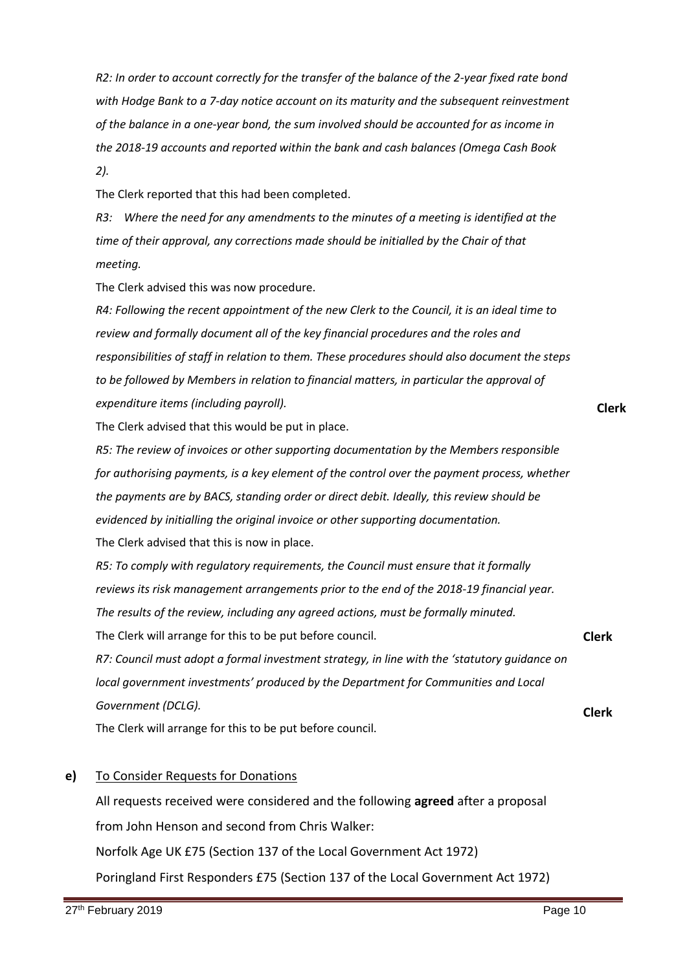*R2: In order to account correctly for the transfer of the balance of the 2-year fixed rate bond with Hodge Bank to a 7-day notice account on its maturity and the subsequent reinvestment of the balance in a one-year bond, the sum involved should be accounted for as income in the 2018-19 accounts and reported within the bank and cash balances (Omega Cash Book 2).* 

The Clerk reported that this had been completed.

*R3: Where the need for any amendments to the minutes of a meeting is identified at the time of their approval, any corrections made should be initialled by the Chair of that meeting.*

The Clerk advised this was now procedure.

*R4: Following the recent appointment of the new Clerk to the Council, it is an ideal time to review and formally document all of the key financial procedures and the roles and responsibilities of staff in relation to them. These procedures should also document the steps to be followed by Members in relation to financial matters, in particular the approval of expenditure items (including payroll).*

The Clerk advised that this would be put in place.

*R5: The review of invoices or other supporting documentation by the Members responsible for authorising payments, is a key element of the control over the payment process, whether the payments are by BACS, standing order or direct debit. Ideally, this review should be evidenced by initialling the original invoice or other supporting documentation.* The Clerk advised that this is now in place.

*R5: To comply with regulatory requirements, the Council must ensure that it formally reviews its risk management arrangements prior to the end of the 2018-19 financial year. The results of the review, including any agreed actions, must be formally minuted.*  The Clerk will arrange for this to be put before council. *R7: Council must adopt a formal investment strategy, in line with the 'statutory guidance on local government investments' produced by the Department for Communities and Local*  **Clerk**

*Government (DCLG).*

The Clerk will arrange for this to be put before council.

#### **e)**  To Consider Requests for Donations

All requests received were considered and the following **agreed** after a proposal from John Henson and second from Chris Walker:

Norfolk Age UK £75 (Section 137 of the Local Government Act 1972)

Poringland First Responders £75 (Section 137 of the Local Government Act 1972)

**Clerk**

**Clerk**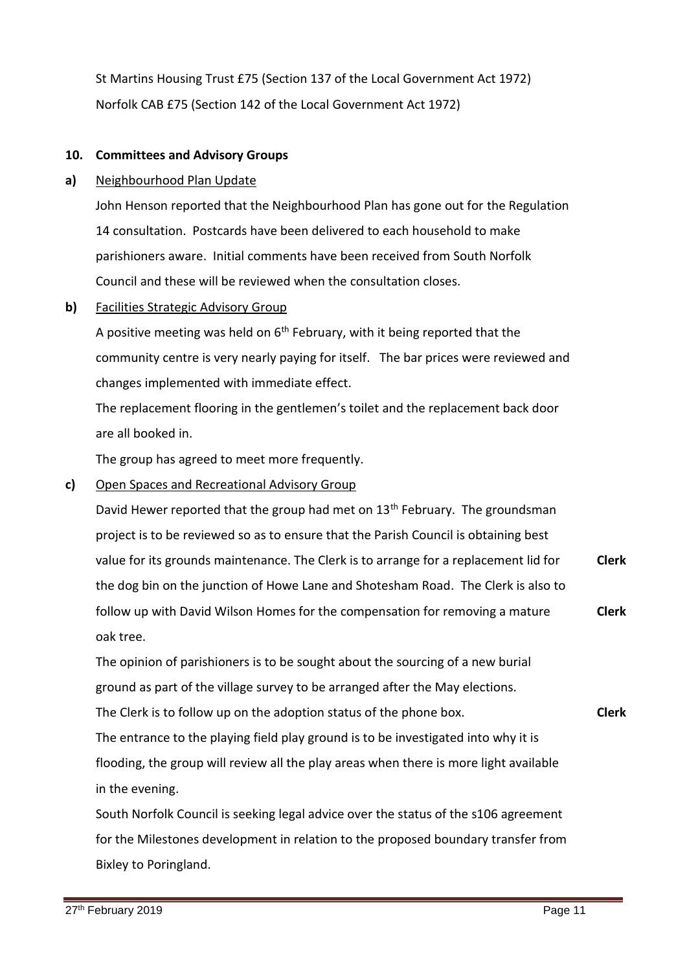St Martins Housing Trust £75 (Section 137 of the Local Government Act 1972) Norfolk CAB £75 (Section 142 of the Local Government Act 1972)

### **10. Committees and Advisory Groups**

#### **a)** Neighbourhood Plan Update

John Henson reported that the Neighbourhood Plan has gone out for the Regulation 14 consultation. Postcards have been delivered to each household to make parishioners aware. Initial comments have been received from South Norfolk Council and these will be reviewed when the consultation closes.

#### **b)**  Facilities Strategic Advisory Group

A positive meeting was held on  $6<sup>th</sup>$  February, with it being reported that the community centre is very nearly paying for itself. The bar prices were reviewed and changes implemented with immediate effect.

The replacement flooring in the gentlemen's toilet and the replacement back door are all booked in.

The group has agreed to meet more frequently.

#### **c)**  Open Spaces and Recreational Advisory Group

David Hewer reported that the group had met on 13<sup>th</sup> February. The groundsman project is to be reviewed so as to ensure that the Parish Council is obtaining best value for its grounds maintenance. The Clerk is to arrange for a replacement lid for the dog bin on the junction of Howe Lane and Shotesham Road. The Clerk is also to follow up with David Wilson Homes for the compensation for removing a mature oak tree. **Clerk Clerk**

The opinion of parishioners is to be sought about the sourcing of a new burial ground as part of the village survey to be arranged after the May elections.

The Clerk is to follow up on the adoption status of the phone box.

The entrance to the playing field play ground is to be investigated into why it is flooding, the group will review all the play areas when there is more light available in the evening.

South Norfolk Council is seeking legal advice over the status of the s106 agreement for the Milestones development in relation to the proposed boundary transfer from Bixley to Poringland.

**Clerk**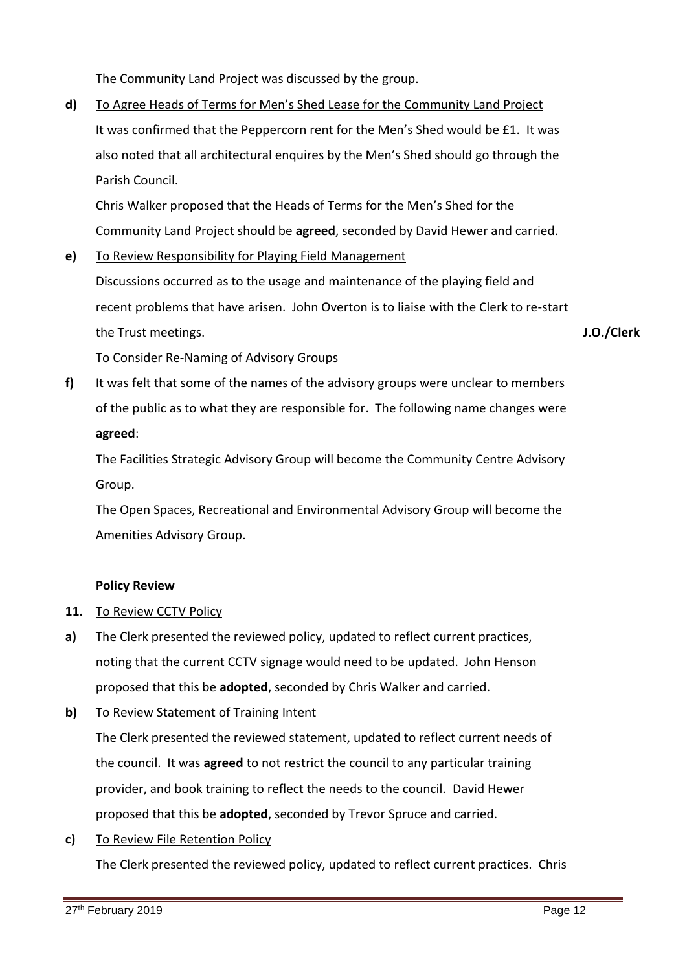The Community Land Project was discussed by the group.

**d)**  To Agree Heads of Terms for Men's Shed Lease for the Community Land Project It was confirmed that the Peppercorn rent for the Men's Shed would be £1. It was also noted that all architectural enquires by the Men's Shed should go through the Parish Council.

Chris Walker proposed that the Heads of Terms for the Men's Shed for the Community Land Project should be **agreed**, seconded by David Hewer and carried.

**e)**  To Review Responsibility for Playing Field Management

Discussions occurred as to the usage and maintenance of the playing field and recent problems that have arisen. John Overton is to liaise with the Clerk to re-start the Trust meetings.

**J.O./Clerk**

### To Consider Re-Naming of Advisory Groups

**f)**  It was felt that some of the names of the advisory groups were unclear to members of the public as to what they are responsible for. The following name changes were **agreed**:

The Facilities Strategic Advisory Group will become the Community Centre Advisory Group.

The Open Spaces, Recreational and Environmental Advisory Group will become the Amenities Advisory Group.

### **Policy Review**

### **11.** To Review CCTV Policy

- **a)** The Clerk presented the reviewed policy, updated to reflect current practices, noting that the current CCTV signage would need to be updated. John Henson proposed that this be **adopted**, seconded by Chris Walker and carried.
- **b)**  To Review Statement of Training Intent

The Clerk presented the reviewed statement, updated to reflect current needs of the council. It was **agreed** to not restrict the council to any particular training provider, and book training to reflect the needs to the council. David Hewer proposed that this be **adopted**, seconded by Trevor Spruce and carried.

**c)**  To Review File Retention Policy

The Clerk presented the reviewed policy, updated to reflect current practices. Chris